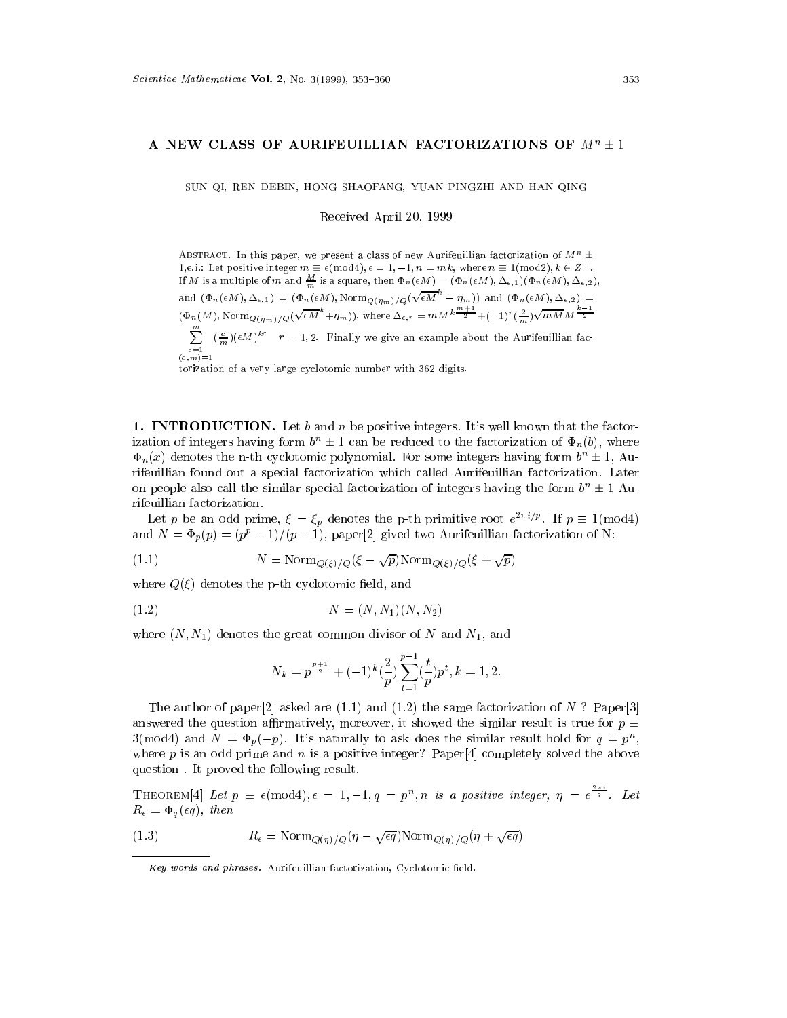## A NEW CLASS OF AURIFEUILLIAN FACTORIZATIONS OF  $M^+ \pm 1$

SUN QI, REN DEBIN, HONG SHAOFANG, YUAN PINGZHI AND HAN QING

Received April 20, 1999

ABSTRACT. In this paper, we present a class of new Aurifeuillian factorization of  $M^n \pm$ 1,e.i.: Let positive integer  $m \equiv \epsilon \pmod{4}$ ,  $\epsilon = 1, -1, n = mk$ , where  $n \equiv 1 \pmod{2}$ ,  $k \in \mathbb{Z}^+$ . If M is a multiple of M and  $\frac{m}{m}$  is a square, then  $\Psi_n(\epsilon M) = (\Psi_n(\epsilon M), \Delta_{\epsilon,1})(\Psi_n(\epsilon M), \Delta_{\epsilon,2}),$ and  $(\Phi_n(\epsilon M), \Delta_{\epsilon,1}) = (\Phi_n(\epsilon M), \text{Norm}_{Q(\eta_m)/Q}(\sqrt{\epsilon M}^{\kappa} - \eta_m))$  and  $(\Phi_n(\epsilon M), \Delta_{\epsilon,2}) =$  $(\Phi_n(M), \text{Norm}_{Q(\eta_m)/Q}(\sqrt{\epsilon M}^n + \eta_m)),$  where  $\Delta_{\epsilon,r} = mM^k\frac{m-1}{2} + (-1)^r(\frac{2}{m})\sqrt{mM}M^{\frac{n-1}{2}}$  $\sum_{m} \left( \frac{c}{m} \right) (\epsilon M)^{kc}$   $r = 1, 2$ . Finally we give an example about the Aurifeuillian fac-

 $(c,m)=1$ 

torization of a very large cyclotomic number with 362 digits.

**1. INTRODUCTION.** Let b and n be positive integers. It's well known that the factorization of integers having form  $b^n \pm 1$  can be reduced to the factorization of  $\Phi_n(b)$ , where  $\Phi_n(x)$  denotes the n-th cyclotomic polynomial. For some integers having form  $b^n \pm 1$ , Aurifeuillian found out a special factorization which called Aurifeuillian factorization. Later on people also call the similar special factorization of integers having the form  $b^n \pm 1$  Aurifeuillian factorization.

Let p be an odd prime,  $\zeta = \zeta_p$  denotes the p-th primitive root  $e^{-i\gamma r}$ . If  $p \equiv 1(\text{mod}4)$ and  $N = \Phi_p(p) = (p^p - 1)/(p - 1)$ , paper[2] gived two Aurifeuillian factorization of N:

(1.1) 
$$
N = \text{Norm}_{Q(\xi)/Q}(\xi - \sqrt{p}) \text{Norm}_{Q(\xi)/Q}(\xi + \sqrt{p})
$$

where  $Q(\xi)$  denotes the p-th cyclotomic field, and

$$
(1.2) \t\t N = (N, N_1)(N, N_2)
$$

where  $(N, N_1)$  denotes the great common divisor of N and  $N_1$ , and

$$
N_k = p^{\frac{p+1}{2}} + (-1)^k \left(\frac{2}{p}\right) \sum_{t=1}^{p-1} \left(\frac{t}{p}\right) p^t, k = 1, 2.
$$

The author of paper<sup>[2]</sup> asked are (1.1) and (1.2) the same factorization of N ? Paper<sup>[3]</sup> answered the question affirmatively, moreover, it showed the similar result is true for  $p \equiv$  $3 \pmod{4}$  and  $N = \Phi_p(-p)$ . It's naturally to ask does the similar result hold for  $q = p^n$ , where p is an odd prime and n is a positive integer? Paper [4] completely solved the above question . It proved the following result.

THEOREM[4] Let  $p \equiv \epsilon \pmod{4}$ ,  $\epsilon = 1, -1, q = p^n$ , n is a positive integer,  $\eta = e^{\frac{-q}{q}}$ . Let  $R_{\epsilon} = \Phi_{q}(\epsilon q), \text{ then}$ 

(1.3) 
$$
R_{\epsilon} = \text{Norm}_{Q(\eta)/Q}(\eta - \sqrt{\epsilon q}) \text{Norm}_{Q(\eta)/Q}(\eta + \sqrt{\epsilon q})
$$

Key words and phrases. Aurifeuillian factorization, Cyclotomic field.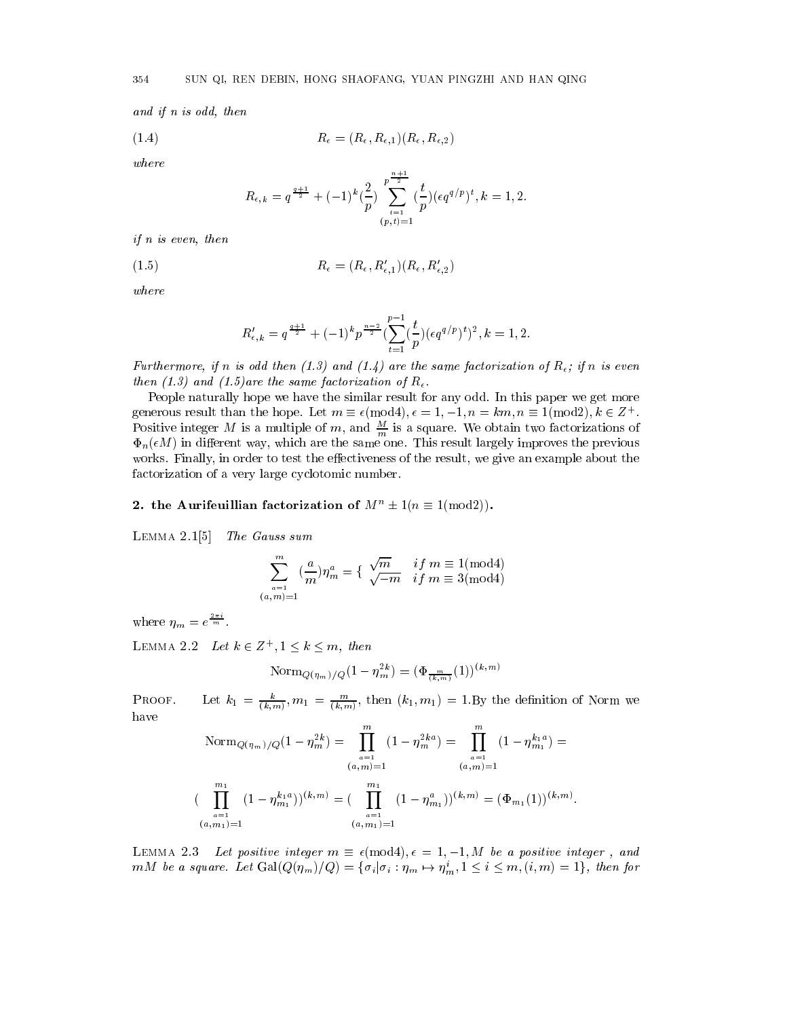and if n is odd, then

$$
(1.4) \t\t R_{\epsilon} = (R_{\epsilon}, R_{\epsilon,1})(R_{\epsilon}, R_{\epsilon,2})
$$

where

$$
R_{\epsilon,k}=q^{\frac{q+1}{2}}+(-1)^{k}(\frac{2}{p})\sum_{\substack{i=1 \ (p,t)=1}}^{p^{\frac{n+1}{2}}}(\frac{t}{p})(\epsilon q^{q/p})^{t}, k=1,2.
$$

if n is even, then

(1.5)  $R_{\epsilon} = (R_{\epsilon}, R'_{\epsilon,1})(R_{\epsilon}, R'_{\epsilon,2})$ 

where

$$
R'_{\epsilon,k}=q^{\frac{q+1}{2}}+(-1)^k p^{\frac{n-2}{2}}(\sum_{t=1}^{p-1}(\frac{t}{p})(\epsilon q^{q/p})^t)^2, k=1,2.
$$

Furthermore, if n is ona then  $(1.3)$  and  $(1.4)$  are the same factorization of  $R_{\epsilon}$ , if n is even then (1.5) and (1.5)are the same factorization of  $R_{\epsilon}$ .

People naturally hope we have the similar result for any odd. In this paper we get more generous result than the hope. Let  $m = \epsilon(\text{mod}4), \epsilon = 1, -1, n = \kappa m, n = 1(\text{mod}2), \kappa \in \mathbb{Z}^+$ . Positive integer M is a multiple of  $m$ , and  $\frac{m}{m}$  is a square. We obtain two factorizations of  $\Phi_n(\epsilon M)$  in different way, which are the same one. This result largely improves the previous works. Finally, in order to test the effectiveness of the result, we give an example about the factorization of a very large cyclotomic number.

## 2. the Aurifeuillian factorization of  $M^n \pm 1(n \equiv 1 \pmod{2})$ .

Lemma 2.1[5] The Gauss sum

$$
\sum_{\substack{a=1\\(a,m)=1}}^m (\frac{a}{m}) \eta_m^a = \{ \begin{array}{ll} \sqrt{m} & if \ m \equiv 1 (\hbox{\rm mod} 4) \\ \sqrt{-m} & if \ m \equiv 3 (\hbox{\rm mod} 4) \end{array}
$$

where  $\eta_m = e^{\frac{2\pi m}{m}}$ .

LEMMA 2.2 Let  $\kappa \in \mathbb{Z}^+, 1 \leq \kappa \leq m$ , then

$$
\textrm{Norm}_{Q(\eta_m)/Q}(1-\eta_m^{2k})=(\Phi_{\frac{m}{(k,m)}}(1))^{(k,m)}
$$

PROOF. Let  $\kappa_1 = \frac{1}{(k,m)}, m_1 = \frac{1}{(k,m)}, \text{ then } (\kappa_1, m_1) = 1$ . By the definition of Norm we have

$$
\text{Norm}_{Q(\eta_m)/Q}(1-\eta_m^{2k}) = \prod_{\substack{a=1 \ (a,m)=1}}^m (1-\eta_m^{2ka}) = \prod_{\substack{a=1 \ (a,m)=1}}^m (1-\eta_{m_1}^{k_1a}) =
$$
\n
$$
(\prod_{\substack{a=1 \ (a,m)=1}}^m (1-\eta_{m_1}^{k_1a}))^{(k,m)} = (\prod_{\substack{a=1 \ (a,m_1)=1}}^m (1-\eta_{m_1}^a))^{(k,m)} = (\Phi_{m_1}(1))^{(k,m)}.
$$

:

Lemma 2.3 Let positive integer m (mod4); <sup>=</sup> 1; 1; M be <sup>a</sup> positive integer , and mM be a square. Let  $Gal(Q(\eta_m)/Q) = {\{\sigma_i | \sigma_i : \eta_m \mapsto \eta_m^i, 1 \le i \le m, (i, m) = 1\}}$ , then for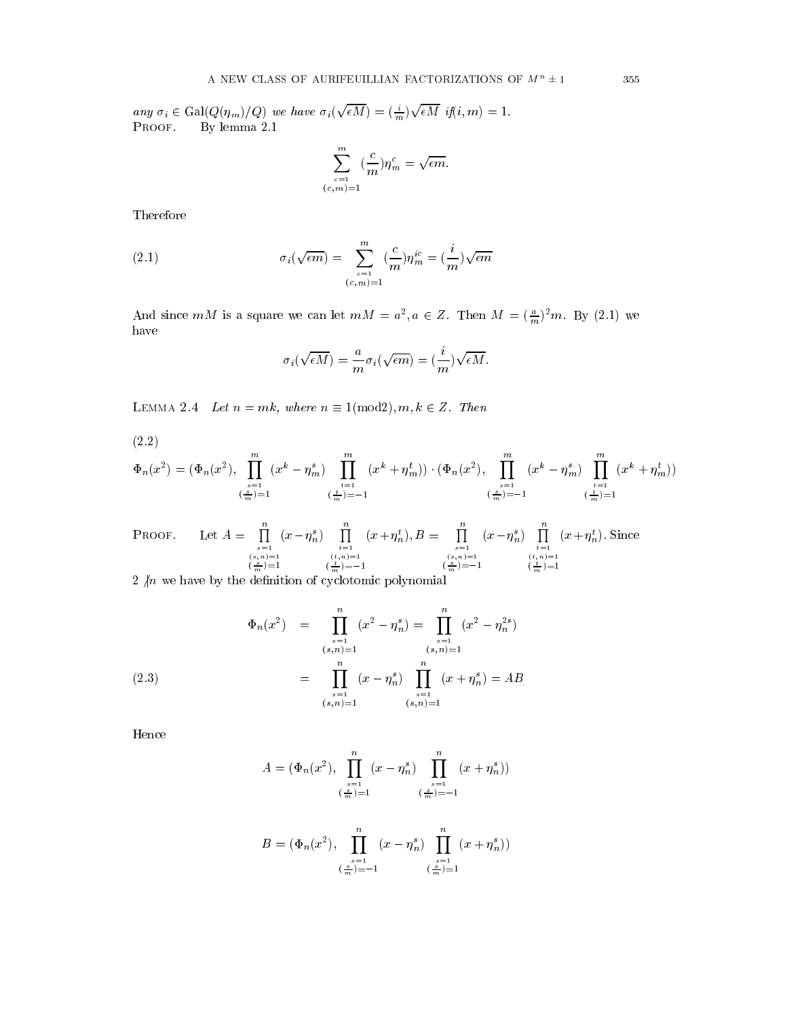any  $\sigma_i \in \text{Gal}(Q(\eta_m)/Q)$  we have  $\sigma_i(\sqrt{\epsilon M})=(\frac{i}{m})\sqrt{\epsilon M}$  if $(i,m)=1$ . Proof. By lemma 2.1

$$
\sum_{\substack{c=1\\(c,m)=1}}^m(\frac{c}{m})\eta_m^c=\sqrt{\epsilon m}.
$$

Therefore

(2.1) 
$$
\sigma_i(\sqrt{\epsilon m}) = \sum_{\substack{c=1 \ (c,m)=1}}^m (\frac{c}{m}) \eta_m^{ic} = (\frac{i}{m}) \sqrt{\epsilon m}
$$

And since  $m_{M}$  is a square we can let  $m_{M} = a^{2}, a \in \mathbb{Z}$ . Then  $M = (\frac{m}{m})^{2}m$ . By (2.1) we have

$$
\sigma_i(\sqrt{\epsilon M}) = \frac{a}{m} \sigma_i(\sqrt{\epsilon m}) = (\frac{i}{m}) \sqrt{\epsilon M}.
$$

LEMMA 2.4 Let  $n = m\kappa$ , where  $n = 1$ (HIOG2),  $m, \kappa \in \mathbb{Z}$ . Then

(2.2)

$$
\Phi_n(x^2) = (\Phi_n(x^2), \prod_{\substack{s=1 \ (m \atop m})=1}^m (x^k - \eta_m^s) \prod_{\substack{t=1 \ (m \atop m})= -1}^m (x^k + \eta_m^t)) \cdot (\Phi_n(x^2), \prod_{\substack{s=1 \ (m \atop m})= -1}^m (x^k - \eta_m^s) \prod_{\substack{t=1 \ (m \atop m})= 1}^m (x^k + \eta_m^t))
$$

PROOF. Let  $A = \prod_{r=1}^{\infty} (x - n_r^s)$  $(s, n)=1$ <br> $\left(\frac{s}{m}\right)=1$  $(x - \eta_n^s)$   $\prod_{\substack{t=1 \ (t,n)=1}}^{\infty} (x + \eta_n^s)$  $\left(\frac{1}{m}\right)=-1$  $(x + \eta_n^t), B = \prod_{\substack{s=1 \ (s,n)=1 \ (s,n)=1}}^{\infty} (x - \eta_n^s)$  $(x - \eta^s_n) \prod_{\substack{t=1 \ (t,n)=1}}^n (x + \eta^i_n)$  $(\frac{1}{m})=1$  $(x + \eta_n)$ . Since

 $\mathcal{L}$  for we have by the definition of cyclotomic polynomials.

$$
\Phi_n(x^2) = \prod_{\substack{s=1 \ (s,n)=1}}^n (x^2 - \eta_n^s) = \prod_{\substack{s=1 \ (s,n)=1}}^n (x^2 - \eta_n^{2s})
$$
\n
$$
= \prod_{\substack{s=1 \ (s,n)=1}}^n (x - \eta_n^s) \prod_{\substack{s=1 \ (s,n)=1}}^n (x + \eta_n^s) = AB
$$

Hence

$$
A = (\Phi_n(x^2), \prod_{\substack{s=1 \ (s-1)=1}}^n (x - \eta_n^s) \prod_{\substack{s=1 \ (s-1)=1}}^n (x + \eta_n^s))
$$

$$
B = (\Phi_n(x^2), \prod_{\substack{s=1 \ (s-1)=-1}}^n (x - \eta_n^s) \prod_{\substack{s=1 \ (s-1)=-1}}^n (x + \eta_n^s))
$$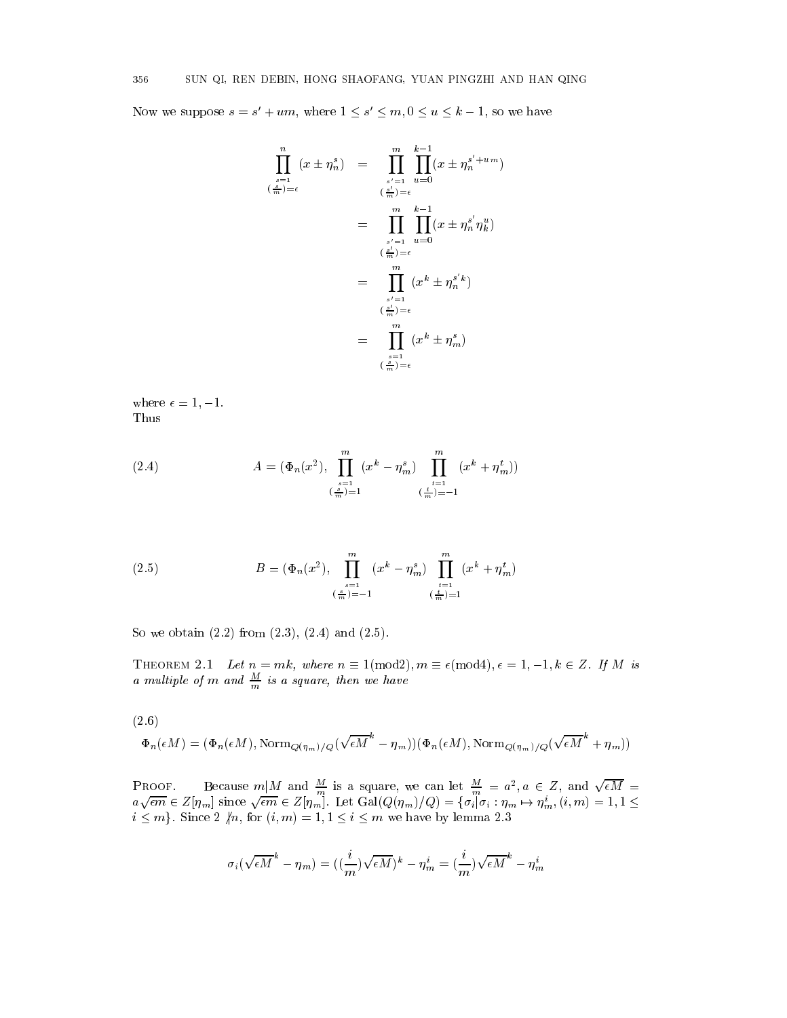Now we suppose  $s = s + u m$ , where  $1 \le s \le m$ ,  $0 \le u \le k - 1$ , so we have

$$
\prod_{\substack{s=1 \ s \neq 1}}^{n} (x \pm \eta_n^s) = \prod_{\substack{s'=1 \ s' = 1}}^{m} \prod_{u=0}^{k-1} (x \pm \eta_n^{s'+um})
$$
\n
$$
= \prod_{\substack{s'=1 \ s' = 1}}^{m} \prod_{u=0}^{k-1} (x \pm \eta_n^{s'} \eta_k^u)
$$
\n
$$
= \prod_{\substack{s'=1 \ s' = 1}}^{m} (x^k \pm \eta_n^{s'} k)
$$
\n
$$
= \prod_{\substack{s'=1 \ s' = 1}}^{m} (x^k \pm \eta_n^{s'} k)
$$
\n
$$
= \prod_{\substack{s=1 \ s \neq 1}}^{m} (x^k \pm \eta_m^s)
$$

where  $\epsilon = 1, -1$ . Thus

(2.4) 
$$
A = (\Phi_n(x^2), \prod_{\substack{s=1 \ (s=1) = 1}}^m (x^k - \eta_m^s) \prod_{\substack{t=1 \ (s=1) = -1}}^m (x^k + \eta_m^t))
$$

(2.5) 
$$
B = (\Phi_n(x^2), \prod_{\substack{s=1 \ (m \ \overline{m}) = -1}}^m (x^k - \eta_m^s) \prod_{\substack{t=1 \ (\frac{t}{m}) = 1}}^m (x^k + \eta_m^t)
$$

So we obtain (2.2) from (2.3), (2.4) and (2.5).

I HEOREM 2.1 Let  $n = m\kappa$ , where  $n = 1$ (HIOG2),  $m = \epsilon$ (HIOG4),  $\epsilon = 1, -1, \kappa \in \mathbb{Z}$ . If M is a multiple of  $m$  and  $\frac{m}{m}$  is a square, then we have

(2.6)

$$
\Phi_n(\epsilon M) = (\Phi_n(\epsilon M), \text{Norm}_{Q(\eta_m)/Q}(\sqrt{\epsilon M}^k - \eta_m))(\Phi_n(\epsilon M), \text{Norm}_{Q(\eta_m)/Q}(\sqrt{\epsilon M}^k + \eta_m))
$$

PROOF. Because  $m|M$  and  $\frac{M}{m}$  is a square, we can let  $\frac{M}{m} = a^2, a \in \mathbb{Z}$ , and  $\sqrt{\epsilon M} = a\sqrt{\epsilon m} \in \mathbb{Z}[\eta_m]$  since  $\sqrt{\epsilon m} \in \mathbb{Z}[\eta_m]$ . Let  $\text{Gal}(Q(\eta_m)/Q) = \{\sigma_i | \sigma_i : \eta_m \mapsto \eta_m^i, (i, m) = 1, 1 \leq \epsilon \}$  $\sum_{i=1}^{n}$  in  $\sum_{i=1}^{n}$  is seen 2 6  $\binom{n}{i}$  ,  $\binom{n}{i}$  ,  $\binom{n}{i}$  in the matrix by lemma 2.3

$$
\sigma_i(\sqrt{\epsilon M}^k - \eta_m) = ((\frac{i}{m})\sqrt{\epsilon M})^k - \eta_m^i = (\frac{i}{m})\sqrt{\epsilon M}^k - \eta_m^i
$$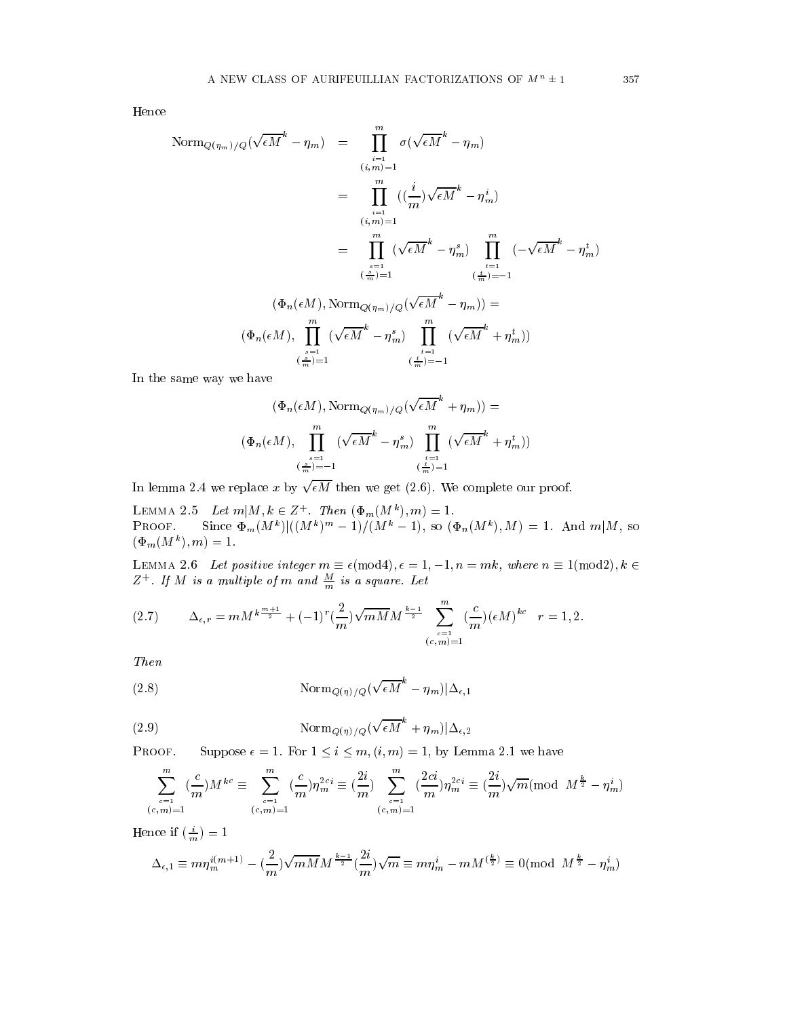Hence

$$
\begin{array}{rcl}\n\text{Norm}_{Q(\eta_m)/Q}(\sqrt{\epsilon M}^k - \eta_m) & = & \prod_{i=1}^m \sigma(\sqrt{\epsilon M}^k - \eta_m) \\
& = & \prod_{i=1}^m \left( \left( \frac{i}{m} \right) \sqrt{\epsilon M}^k - \eta_m^i \right) \\
& = & \prod_{i=1}^m \left( \sqrt{\epsilon M}^k - \eta_m^s \right) \\
& = & \prod_{i=1}^m \left( \sqrt{\epsilon M}^k - \eta_m^s \right) \prod_{i=1}^m \left( -\sqrt{\epsilon M}^k - \eta_m^t \right) \\
& = & \left( \frac{s}{m} \right) = 1 \qquad \qquad \left( \frac{i}{m} \right) = -1 \\
\text{(Phi}_n(\epsilon M), \text{Norm}_{Q(\eta_m)/Q}(\sqrt{\epsilon M}^k - \eta_m) \right) & = \\
\text{(Phi}_n(\epsilon M), \prod_{i=1}^m \left( \sqrt{\epsilon M}^k - \eta_m^s \right) \prod_{i=1}^m \left( \sqrt{\epsilon M}^k + \eta_m^t \right)) \\
& & \left( \frac{s}{m} \right) = 1 \qquad \qquad \left( \frac{i}{m} \right) = -1\n\end{array}
$$

In the same way we have

$$
(\Phi_n(\epsilon M), \text{Norm}_{Q(\eta_m)/Q}(\sqrt{\epsilon M}^k + \eta_m)) =
$$

$$
(\Phi_n(\epsilon M), \prod_{\substack{s=1 \ (m, k) = -1}}^m (\sqrt{\epsilon M}^k - \eta_m^s) \prod_{\substack{t=1 \ (m, k) = 1}}^m (\sqrt{\epsilon M}^k + \eta_m^t))
$$

In lemma 2.4 we replace x by  $\sqrt{\epsilon M}$  then we get (2.6). We complete our proof.

LEMMA 2.5 Let  $m | M, \kappa \in \mathbb{Z}$  . Then  $(\Psi_m(M^*), m) = 1$ . **PROOF.** SHICE  $\Psi_m(M^{\dagger})|((M^{\dagger})^{\dagger\dagger} - 1)/(M^{\dagger} - 1)$ , so  $(\Psi_n(M^{\dagger})$ ,  $M) = 1$ . And  $m|M$ , so  $(\Psi_m(M^{\circ}), m) = 1.$ 

LEMMA 2.0 Let positive integer  $m \equiv \epsilon$ (mod4),  $\epsilon = 1, \pm 1, n = m\kappa$ , where  $n \equiv 1$ (mod2),  $\kappa \in$  $Z+I$  if  $M$  is a multiple of  $m$  and  $\frac{m}{m}$  is a square. Let

$$
(2.7) \qquad \Delta_{\epsilon,r} = mM^{k\frac{m+1}{2}} + (-1)^r \left(\frac{2}{m}\right) \sqrt{mM} M^{\frac{k-1}{2}} \sum_{\substack{c=1\\(c,m)=1}}^m \left(\frac{c}{m}\right) \left(\epsilon M\right)^{kc} \quad r=1,2.
$$

Then

(2.8) 
$$
\text{Norm}_{Q(\eta)/Q}(\sqrt{\epsilon M}^k - \eta_m)|\Delta_{\epsilon,1}
$$

(2.9) 
$$
\text{Norm}_{Q(\eta)/Q}(\sqrt{\epsilon M}^k + \eta_m)|\Delta_{\epsilon,2}
$$

PROOF. Suppose  $\epsilon = 1$ . For  $1 \leq i \leq m$ ,  $(i, m) = 1$ , by Lemma 2.1 we have

$$
\sum_{\substack{c=1\\(c,m)=1}}^m (\frac{c}{m}) M^{kc} \equiv \sum_{\substack{c=1\\(c,m)=1}}^m (\frac{c}{m}) \eta_m^{2ci} \equiv (\frac{2i}{m}) \sum_{\substack{c=1\\(c,m)=1}}^m (\frac{2ci}{m}) \eta_m^{2ci} \equiv (\frac{2i}{m}) \sqrt{m} (\text{mod } M^{\frac{k}{2}} - \eta_m^i)
$$

Hence if  $\left(\frac{i}{m}\right)=1$ 

$$
\Delta_{\epsilon,1} \equiv m\eta_m^{i(m+1)} - (\frac{2}{m})\sqrt{mM}M^{\frac{k-1}{2}}(\frac{2i}{m})\sqrt{m} \equiv m\eta_m^i - mM^{(\frac{k}{2})} \equiv 0 (\text{mod} \ \ M^{\frac{k}{2}} - \eta_m^i)
$$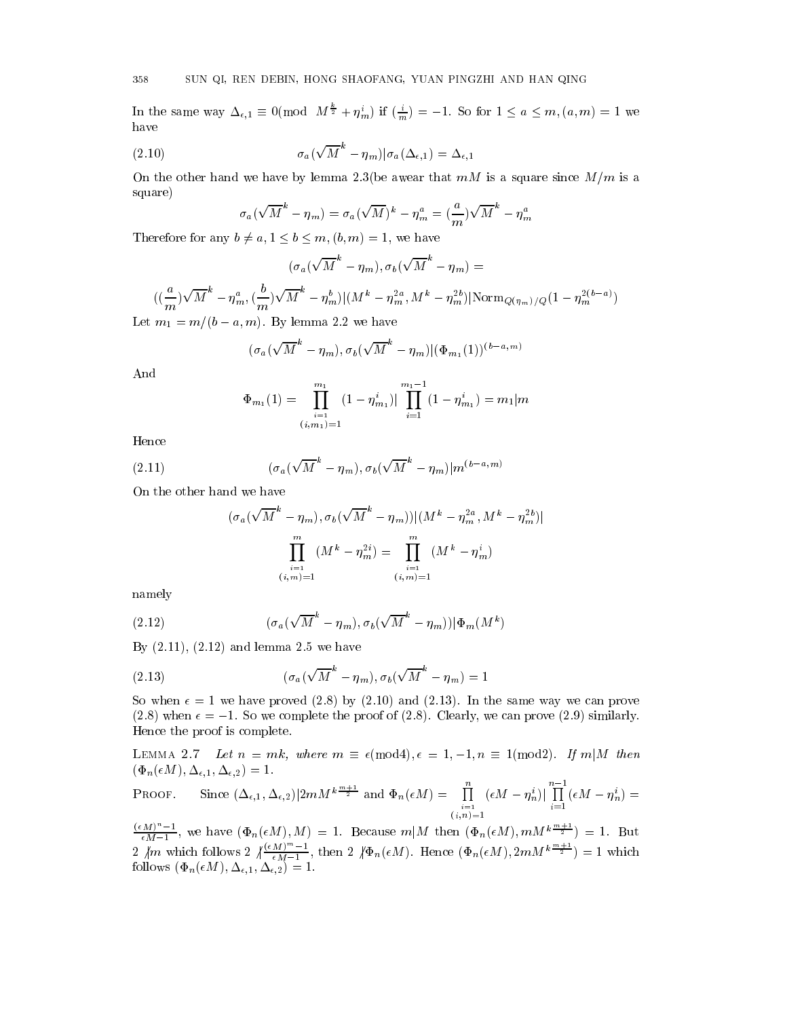In the same way  $\Delta_{\epsilon,1} \equiv 0 \pmod{M^{\frac{1}{2}} + \eta_m^2}$  if  $(\frac{i}{m}) = -1$ . So for  $1 \le a \le m, (a,m) = 1$  we have

(2.10) 
$$
\sigma_a(\sqrt{M}^k - \eta_m)|\sigma_a(\Delta_{\epsilon,1}) = \Delta_{\epsilon,1}
$$

On the other hand we have by lemma 2.3(be awear that  $mM$  is a square since  $M/m$  is a square)

$$
\sigma_a(\sqrt{M}^k - \eta_m) = \sigma_a(\sqrt{M})^k - \eta_m^a = (\frac{a}{m})\sqrt{M}^k - \eta_m^a
$$

Therefore for any  $b \neq a, 1 \leq b \leq m$ ,  $(b, m) = 1$ , we have

$$
(\sigma_a(\sqrt{M}^k-\eta_m),\sigma_b(\sqrt{M}^k-\eta_m)=
$$

 $((\frac{m}{m})\sqrt{M}^{\circ}-\eta_{m}^{a},(\frac{b}{m})\sqrt{M}^{\circ}-\eta_{m}^{b})|(M^{k}-\eta_{m}^{2a},M^{k}-\eta_{m}^{2b})|\text{Norm}_{Q(\eta_{m})/Q}(1-\eta_{m}^{2(b-a)})|$ Let  $m_1 = m/(b - a, m)$ . By lemma 2.2 we have

$$
(\sigma_a(\sqrt{M}^k-\eta_m),\sigma_b(\sqrt{M}^k-\eta_m)|(\Phi_{m_1}(1))^{(b-a,m)}
$$

And

$$
\Phi_{m_1}(1) = \prod_{\substack{i=1 \ i \neq m}}^{m_1} (1 - \eta_{m_1}^i) \Big| \prod_{i=1}^{m_1 - 1} (1 - \eta_{m_1}^i) = m_1 \Big| m
$$

Hence

(2.11) 
$$
(\sigma_a(\sqrt{M}^k - \eta_m), \sigma_b(\sqrt{M}^k - \eta_m)|m^{(b-a,m)}
$$

On the other hand we have

$$
(\sigma_a(\sqrt{M}^k - \eta_m), \sigma_b(\sqrt{M}^k - \eta_m))|(M^k - \eta_m^{2a}, M^k - \eta_m^{2b})|
$$

$$
\prod_{\substack{i=1 \ i, m \neq 1}}^m (M^k - \eta_m^{2i}) = \prod_{\substack{i=1 \ i, m \neq 1}}^m (M^k - \eta_m^i)
$$

namely

(2.12) 
$$
(\sigma_a(\sqrt{M}^k - \eta_m), \sigma_b(\sqrt{M}^k - \eta_m))|\Phi_m(M^k)
$$

By  $(2.11)$ ,  $(2.12)$  and lemma 2.5 we have

(2.13) 
$$
(\sigma_a(\sqrt{M}^k - \eta_m), \sigma_b(\sqrt{M}^k - \eta_m) = 1
$$

So when  $\epsilon = 1$  we have proved (2.8) by (2.10) and (2.13). In the same way we can prove (2.8) when  $\epsilon = -1$ . So we complete the proof of (2.8). Clearly, we can prove (2.9) similarly. Hence the proof is complete.

Lemma 2.7 Let  $n$  and  $n$  is made  $m$  and  $\alpha$  is the  $n$  if  $\alpha$  is the  $n$  is the  $n$  if  $m$  then the  $n$  $(\Phi_n(\epsilon M), \Delta_{\epsilon,1}, \Delta_{\epsilon,2}) = 1.$ 

PROOF. Since 
$$
(\Delta_{\epsilon,1}, \Delta_{\epsilon,2})|2mM^{k\frac{m+1}{2}}
$$
 and  $\Phi_n(\epsilon M) = \prod_{\substack{i=1 \ i,n \geq 1}}^n (\epsilon M - \eta_n^i) \Big| \prod_{i=1}^{n-1} (\epsilon M - \eta_n^i) =$ 

 $(\epsilon M)^n = 1$  (F(1f) 1f) 1 D 11f 1 (F(1f)  $\frac{\left(\epsilon M\right)^{n-1}}{eM-1}$ , we have  $(\Phi_n(\epsilon M), M) = 1$ . Because  $m|M$  then  $(\Phi_n(\epsilon M), mM^{\frac{n-1}{2}}) = 1$ . But<br>  $2 \text{ km which follows } 2 \sqrt{\frac{\left(\epsilon M\right)^m-1}{\epsilon M-1}}, \text{ then } 2 \sqrt{\Phi_n(\epsilon M)}$ . Hence  $(\Phi_n(\epsilon M), 2mM^{\frac{n+1}{2}}) = 1$  which  $f(x) = f(x) = f(x) = 1, \quad x = 1, \quad x = 1.$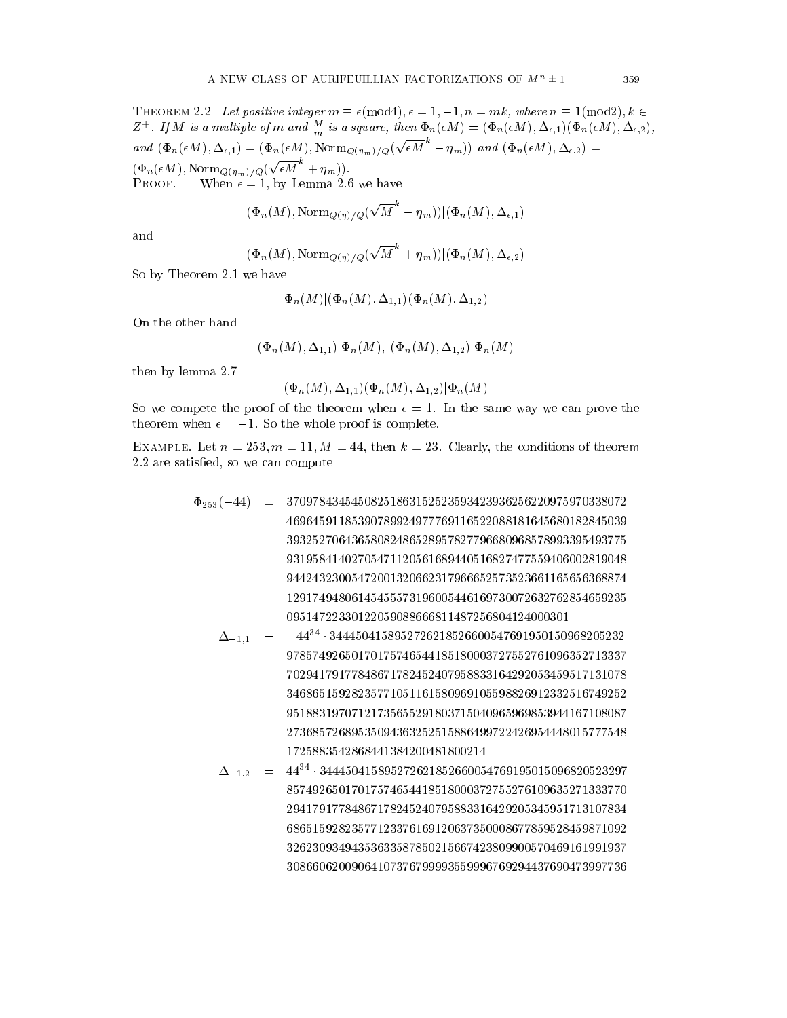$(\Phi_n(\epsilon M), \text{Norm}_{Q(\eta_m)/Q}(\sqrt{\epsilon M}^n + \eta_m)).$  $\mathbf{p}$ 

**PROOF.** When 
$$
\epsilon = 1
$$
, by Lemma 2.6 we have

$$
(\Phi_n(M), \mathrm{Norm}_{Q(\eta)/Q}(\sqrt{M}^k - \eta_m)) | (\Phi_n(M), \Delta_{\epsilon, 1})
$$

and

$$
(\Phi_n(M), \text{Norm}_{Q(\eta)/Q}(\sqrt{M}^k + \eta_m)) | (\Phi_n(M), \Delta_{\epsilon, 2})
$$

So by Theorem 2.1 we have

$$
\Phi_n(M)|(\Phi_n(M),\Delta_{1,1})(\Phi_n(M),\Delta_{1,2})
$$

On the other hand

 $(\Phi_n(M), \Delta_{1,1})|\Phi_n(M), (\Phi_n(M), \Delta_{1,2})|\Phi_n(M)$ 

then by lemma 2.7

$$
(\Phi_n(M), \Delta_{1,1})(\Phi_n(M), \Delta_{1,2})|\Phi_n(M)
$$

So we compete the proof of the theorem when  $\epsilon = 1$ . In the same way we can prove the theorem when  $\epsilon = -1$ . So the whole proof is complete.

EXAMPLE. Let  $n = 253$ ,  $m = 11$ ,  $M = 44$ , then  $k = 23$ . Clearly, the conditions of theorem 2.2 are satisfied, so we can compute

- $\Phi_{253}(-44) = 37097843454508251863152523593423936256220975970338072$ 46964591185390789924977769116522088181645680182845039 93195841402705471120561689440516827477559406002819048 94424323005472001320662317966652573523661165656368874 12917494806145455573196005446169730072632762854659235 09514722330122059088666811487256804124000301
	- $\Delta_{-1,1}$  =  $-44$   $3444504158952720218520000547091950150908205232$ 97857492650170175746544185180003727552761096352713337 70294179177848671782452407958833164292053459517131078 34686515928235771051161580969105598826912332516749252 95188319707121735655291803715040965969853944167108087 27368572689535094363252515886499722426954448015777548 1725883542868441384200481800214
	- $\Delta_{-1,2}$  = 44 344450415895272621852660054769195015096820525297 85749265017017574654418518000372755276109635271333770 68651592823577123376169120637350008677859528459871092 32623093494353633587850215667423809900570469161991937 30866062009064107376799993559996769294437690473997736